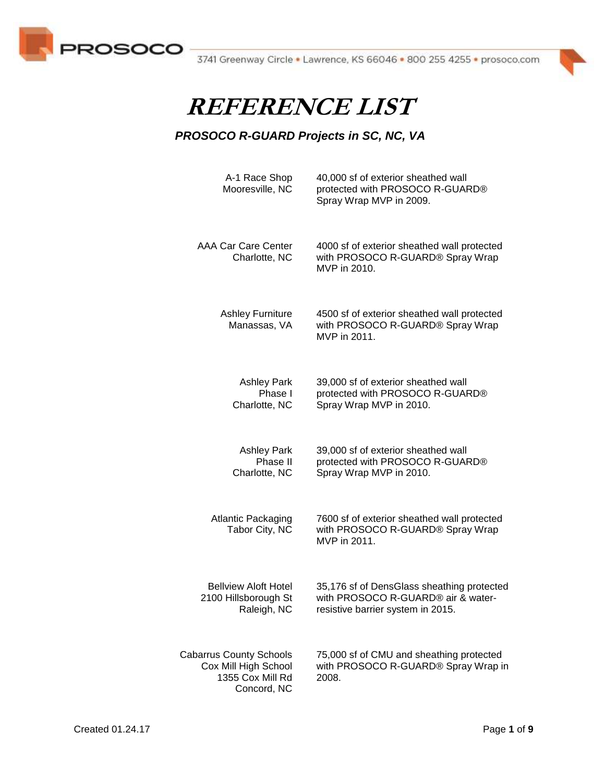



| A-1 Race Shop<br>Mooresville, NC                                                          | 40,000 sf of exterior sheathed wall<br>protected with PROSOCO R-GUARD®<br>Spray Wrap MVP in 2009.                     |
|-------------------------------------------------------------------------------------------|-----------------------------------------------------------------------------------------------------------------------|
| <b>AAA Car Care Center</b><br>Charlotte, NC                                               | 4000 sf of exterior sheathed wall protected<br>with PROSOCO R-GUARD® Spray Wrap<br>MVP in 2010.                       |
| <b>Ashley Furniture</b><br>Manassas, VA                                                   | 4500 sf of exterior sheathed wall protected<br>with PROSOCO R-GUARD® Spray Wrap<br>MVP in 2011.                       |
| <b>Ashley Park</b><br>Phase I<br>Charlotte, NC                                            | 39,000 sf of exterior sheathed wall<br>protected with PROSOCO R-GUARD®<br>Spray Wrap MVP in 2010.                     |
| <b>Ashley Park</b><br>Phase II<br>Charlotte, NC                                           | 39,000 sf of exterior sheathed wall<br>protected with PROSOCO R-GUARD®<br>Spray Wrap MVP in 2010.                     |
| <b>Atlantic Packaging</b><br>Tabor City, NC                                               | 7600 sf of exterior sheathed wall protected<br>with PROSOCO R-GUARD® Spray Wrap<br>MVP in 2011.                       |
| <b>Bellview Aloft Hotel</b><br>2100 Hillsborough St<br>Raleigh, NC                        | 35,176 sf of DensGlass sheathing protected<br>with PROSOCO R-GUARD® air & water-<br>resistive barrier system in 2015. |
| <b>Cabarrus County Schools</b><br>Cox Mill High School<br>1355 Cox Mill Rd<br>Concord, NC | 75,000 sf of CMU and sheathing protected<br>with PROSOCO R-GUARD® Spray Wrap in<br>2008.                              |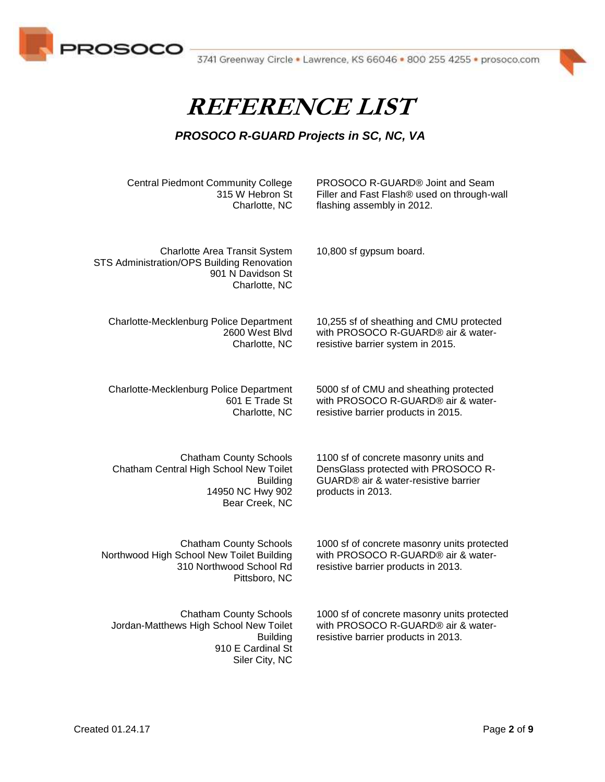



| <b>Central Piedmont Community College</b><br>315 W Hebron St<br>Charlotte, NC                                                     | PROSOCO R-GUARD® Joint and Seam<br>Filler and Fast Flash® used on through-wall<br>flashing assembly in 2012.                              |
|-----------------------------------------------------------------------------------------------------------------------------------|-------------------------------------------------------------------------------------------------------------------------------------------|
| <b>Charlotte Area Transit System</b><br>STS Administration/OPS Building Renovation<br>901 N Davidson St<br>Charlotte, NC          | 10,800 sf gypsum board.                                                                                                                   |
| Charlotte-Mecklenburg Police Department<br>2600 West Blvd<br>Charlotte, NC                                                        | 10,255 sf of sheathing and CMU protected<br>with PROSOCO R-GUARD® air & water-<br>resistive barrier system in 2015.                       |
| Charlotte-Mecklenburg Police Department<br>601 E Trade St<br>Charlotte, NC                                                        | 5000 sf of CMU and sheathing protected<br>with PROSOCO R-GUARD® air & water-<br>resistive barrier products in 2015.                       |
| <b>Chatham County Schools</b><br>Chatham Central High School New Toilet<br><b>Building</b><br>14950 NC Hwy 902<br>Bear Creek, NC  | 1100 sf of concrete masonry units and<br>DensGlass protected with PROSOCO R-<br>GUARD® air & water-resistive barrier<br>products in 2013. |
| <b>Chatham County Schools</b><br>Northwood High School New Toilet Building<br>310 Northwood School Rd<br>Pittsboro, NC            | 1000 sf of concrete masonry units protected<br>with PROSOCO R-GUARD® air & water-<br>resistive barrier products in 2013.                  |
| <b>Chatham County Schools</b><br>Jordan-Matthews High School New Toilet<br><b>Building</b><br>910 E Cardinal St<br>Siler City, NC | 1000 sf of concrete masonry units protected<br>with PROSOCO R-GUARD® air & water-<br>resistive barrier products in 2013.                  |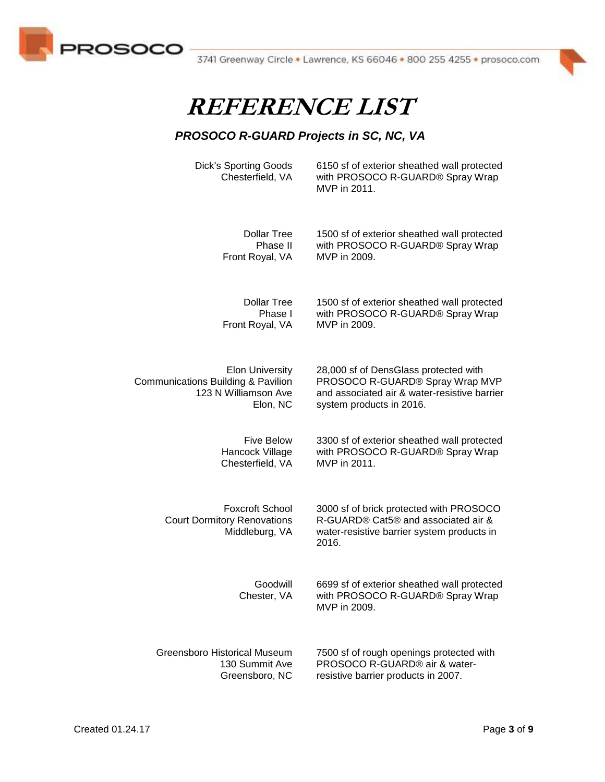



#### *PROSOCO R-GUARD Projects in SC, NC, VA*

Dick's Sporting Goods Chesterfield, VA 6150 sf of exterior sheathed wall protected with PROSOCO R-GUARD® Spray Wrap MVP in 2011.

Dollar Tree Phase II Front Royal, VA

1500 sf of exterior sheathed wall protected with PROSOCO R-GUARD® Spray Wrap MVP in 2009.

Dollar Tree Phase I Front Royal, VA

1500 sf of exterior sheathed wall protected with PROSOCO R-GUARD® Spray Wrap MVP in 2009.

28,000 sf of DensGlass protected with PROSOCO R-GUARD® Spray Wrap MVP and associated air & water-resistive barrier

3300 sf of exterior sheathed wall protected with PROSOCO R-GUARD® Spray Wrap

3000 sf of brick protected with PROSOCO R-GUARD® Cat5® and associated air & water-resistive barrier system products in

6699 sf of exterior sheathed wall protected

system products in 2016.

MVP in 2011.

Elon University Communications Building & Pavilion 123 N Williamson Ave Elon, NC

> Five Below Hancock Village Chesterfield, VA

Foxcroft School Court Dormitory Renovations Middleburg, VA

> Goodwill Chester, VA

with PROSOCO R-GUARD® Spray Wrap MVP in 2009.

Greensboro Historical Museum 130 Summit Ave Greensboro, NC 7500 sf of rough openings protected with PROSOCO R-GUARD® air & waterresistive barrier products in 2007.

2016.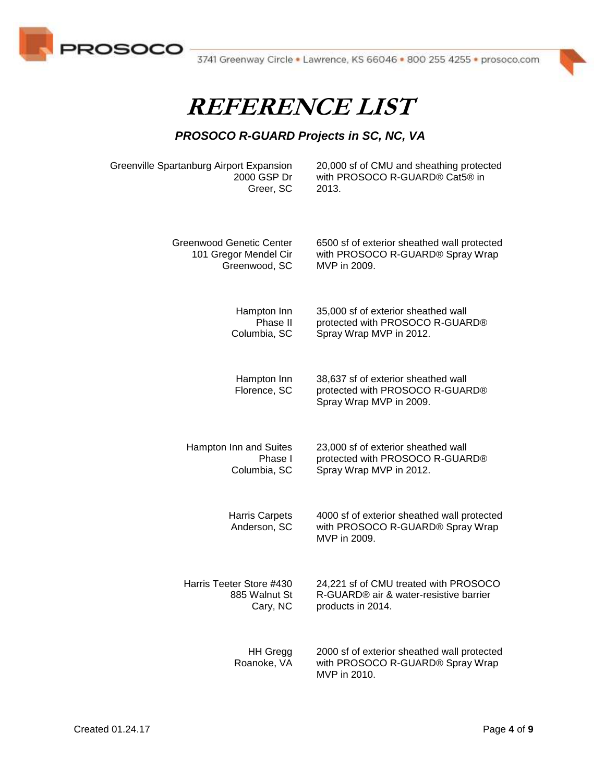



#### *PROSOCO R-GUARD Projects in SC, NC, VA*

Greenville Spartanburg Airport Expansion 2000 GSP Dr Greer, SC

20,000 sf of CMU and sheathing protected with PROSOCO R-GUARD® Cat5® in 2013.

Greenwood Genetic Center 101 Gregor Mendel Cir Greenwood, SC 6500 sf of exterior sheathed wall protected with PROSOCO R-GUARD® Spray Wrap MVP in 2009.

> Hampton Inn Phase II Columbia, SC

35,000 sf of exterior sheathed wall protected with PROSOCO R-GUARD® Spray Wrap MVP in 2012.

38,637 sf of exterior sheathed wall protected with PROSOCO R-GUARD®

23,000 sf of exterior sheathed wall protected with PROSOCO R-GUARD®

4000 sf of exterior sheathed wall protected with PROSOCO R-GUARD® Spray Wrap

24,221 sf of CMU treated with PROSOCO R-GUARD® air & water-resistive barrier

Spray Wrap MVP in 2009.

Spray Wrap MVP in 2012.

Hampton Inn Florence, SC

Hampton Inn and Suites Phase I Columbia, SC

> Harris Carpets Anderson, SC MVP in 2009.

Harris Teeter Store #430 885 Walnut St Cary, NC

> HH Gregg Roanoke, VA 2000 sf of exterior sheathed wall protected with PROSOCO R-GUARD® Spray Wrap MVP in 2010.

products in 2014.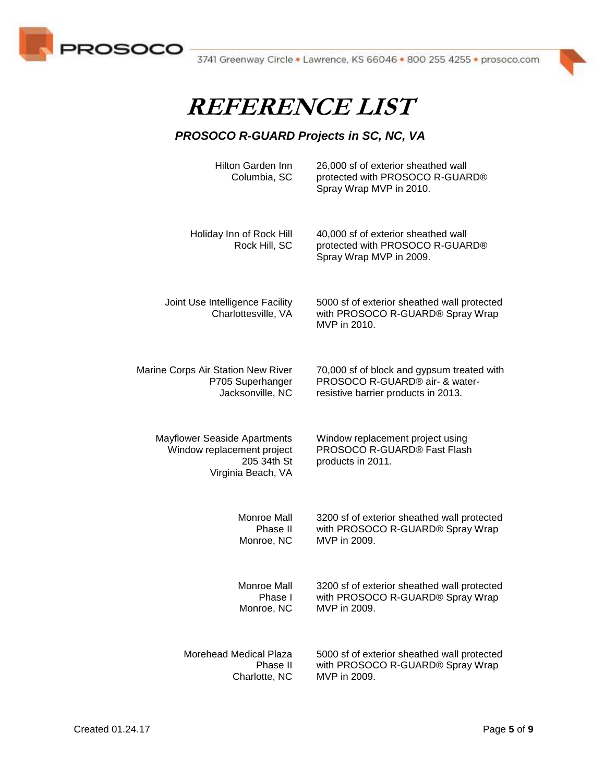



| Hilton Garden Inn<br>Columbia, SC                                                                      | 26,000 sf of exterior sheathed wall<br>protected with PROSOCO R-GUARD®<br>Spray Wrap MVP in 2010. |
|--------------------------------------------------------------------------------------------------------|---------------------------------------------------------------------------------------------------|
| Holiday Inn of Rock Hill<br>Rock Hill, SC                                                              | 40,000 sf of exterior sheathed wall<br>protected with PROSOCO R-GUARD®<br>Spray Wrap MVP in 2009. |
| Joint Use Intelligence Facility<br>Charlottesville, VA                                                 | 5000 sf of exterior sheathed wall protected<br>with PROSOCO R-GUARD® Spray Wrap<br>MVP in 2010.   |
| Marine Corps Air Station New River                                                                     | 70,000 sf of block and gypsum treated with                                                        |
| P705 Superhanger                                                                                       | PROSOCO R-GUARD® air- & water-                                                                    |
| Jacksonville, NC                                                                                       | resistive barrier products in 2013.                                                               |
| <b>Mayflower Seaside Apartments</b><br>Window replacement project<br>205 34th St<br>Virginia Beach, VA | Window replacement project using<br>PROSOCO R-GUARD® Fast Flash<br>products in 2011.              |
| Monroe Mall                                                                                            | 3200 sf of exterior sheathed wall protected                                                       |
| Phase II                                                                                               | with PROSOCO R-GUARD® Spray Wrap                                                                  |
| Monroe, NC                                                                                             | MVP in 2009.                                                                                      |
| Monroe Mall                                                                                            | 3200 sf of exterior sheathed wall protected                                                       |
| Phase I                                                                                                | with PROSOCO R-GUARD® Spray Wrap                                                                  |
| Monroe, NC                                                                                             | MVP in 2009.                                                                                      |
| Morehead Medical Plaza                                                                                 | 5000 sf of exterior sheathed wall protected                                                       |
| Phase II                                                                                               | with PROSOCO R-GUARD® Spray Wrap                                                                  |
| Charlotte, NC                                                                                          | MVP in 2009.                                                                                      |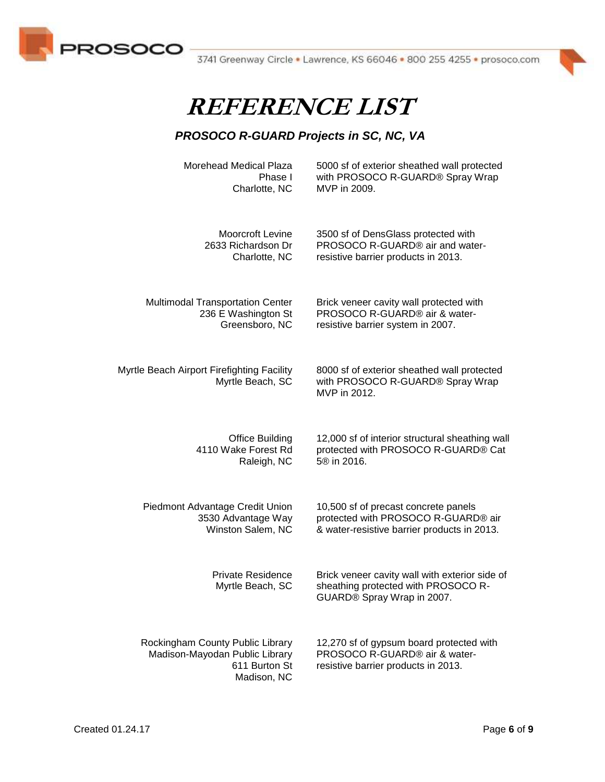



#### *PROSOCO R-GUARD Projects in SC, NC, VA*

Morehead Medical Plaza Phase I Charlotte, NC

5000 sf of exterior sheathed wall protected with PROSOCO R-GUARD® Spray Wrap MVP in 2009.

Moorcroft Levine 2633 Richardson Dr Charlotte, NC

Multimodal Transportation Center 236 E Washington St Greensboro, NC

Brick veneer cavity wall protected with PROSOCO R-GUARD® air & waterresistive barrier system in 2007.

3500 sf of DensGlass protected with PROSOCO R-GUARD® air and waterresistive barrier products in 2013.

Myrtle Beach Airport Firefighting Facility Myrtle Beach, SC 8000 sf of exterior sheathed wall protected with PROSOCO R-GUARD® Spray Wrap MVP in 2012.

> Office Building 4110 Wake Forest Rd Raleigh, NC

Piedmont Advantage Credit Union 3530 Advantage Way Winston Salem, NC

> Private Residence Myrtle Beach, SC

Rockingham County Public Library Madison-Mayodan Public Library 611 Burton St Madison, NC

12,000 sf of interior structural sheathing wall protected with PROSOCO R-GUARD® Cat 5® in 2016.

10,500 sf of precast concrete panels protected with PROSOCO R-GUARD® air & water-resistive barrier products in 2013.

Brick veneer cavity wall with exterior side of sheathing protected with PROSOCO R-GUARD® Spray Wrap in 2007.

12,270 sf of gypsum board protected with PROSOCO R-GUARD® air & waterresistive barrier products in 2013.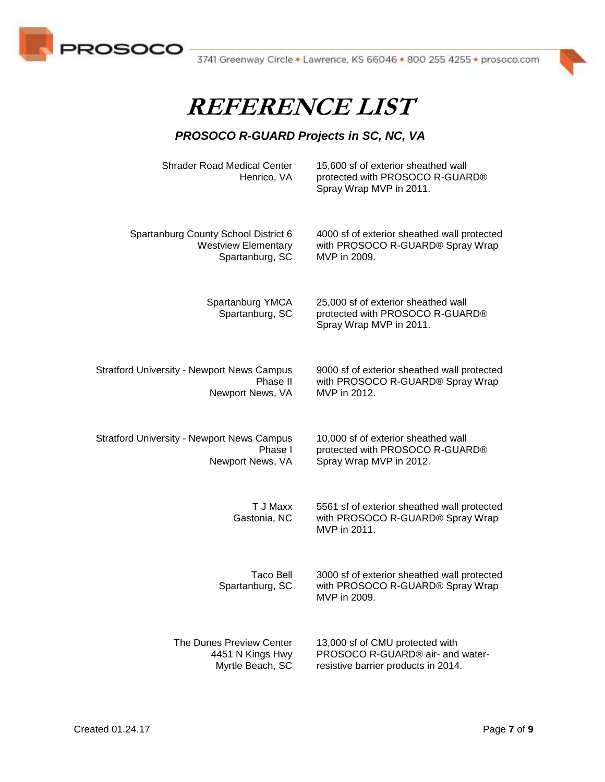



| <b>Shrader Road Medical Center</b><br>Henrico, VA | 15,600 sf of exterior sheathed wall<br>protected with PROSOCO R-GUARD®<br>Spray Wrap MVP in 2011. |
|---------------------------------------------------|---------------------------------------------------------------------------------------------------|
| Spartanburg County School District 6              | 4000 sf of exterior sheathed wall protected                                                       |
| <b>Westview Elementary</b>                        | with PROSOCO R-GUARD® Spray Wrap                                                                  |
| Spartanburg, SC                                   | MVP in 2009.                                                                                      |
| Spartanburg YMCA<br>Spartanburg, SC               | 25,000 sf of exterior sheathed wall<br>protected with PROSOCO R-GUARD®<br>Spray Wrap MVP in 2011. |
| <b>Stratford University - Newport News Campus</b> | 9000 sf of exterior sheathed wall protected                                                       |
| Phase II                                          | with PROSOCO R-GUARD® Spray Wrap                                                                  |
| Newport News, VA                                  | MVP in 2012.                                                                                      |
| <b>Stratford University - Newport News Campus</b> | 10,000 sf of exterior sheathed wall                                                               |
| Phase I                                           | protected with PROSOCO R-GUARD®                                                                   |
| Newport News, VA                                  | Spray Wrap MVP in 2012.                                                                           |
| T J Maxx<br>Gastonia, NC                          | 5561 sf of exterior sheathed wall protected<br>with PROSOCO R-GUARD® Spray Wrap<br>MVP in 2011.   |
| <b>Taco Bell</b><br>Spartanburg, SC               | 3000 sf of exterior sheathed wall protected<br>with PROSOCO R-GUARD® Spray Wrap<br>MVP in 2009.   |
| The Dunes Preview Center                          | 13,000 sf of CMU protected with                                                                   |
| 4451 N Kings Hwy                                  | PROSOCO R-GUARD® air- and water-                                                                  |
| Myrtle Beach, SC                                  | resistive barrier products in 2014.                                                               |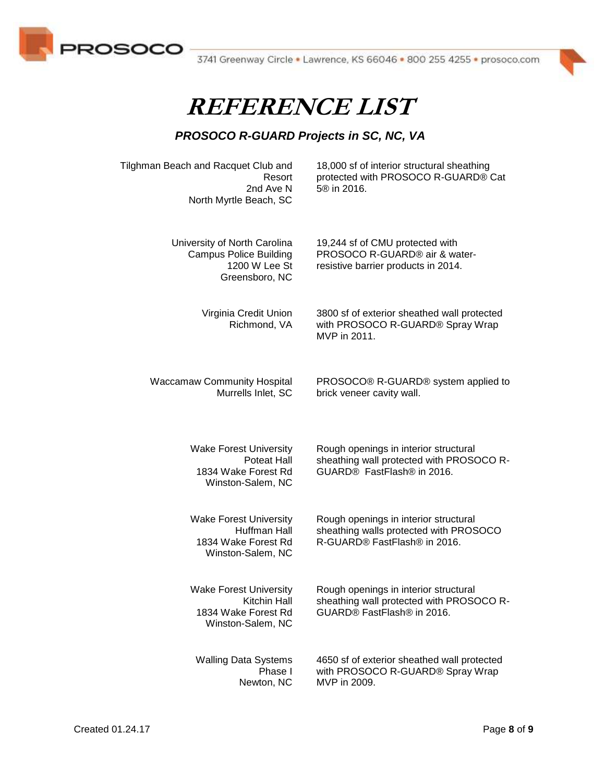



#### *PROSOCO R-GUARD Projects in SC, NC, VA*

Tilghman Beach and Racquet Club and Resort 2nd Ave N North Myrtle Beach, SC

18,000 sf of interior structural sheathing protected with PROSOCO R-GUARD® Cat 5® in 2016.

University of North Carolina Campus Police Building 1200 W Lee St Greensboro, NC 19,244 sf of CMU protected with PROSOCO R-GUARD® air & waterresistive barrier products in 2014.

Virginia Credit Union Richmond, VA

3800 sf of exterior sheathed wall protected with PROSOCO R-GUARD® Spray Wrap MVP in 2011.

Waccamaw Community Hospital Murrells Inlet, SC

PROSOCO® R-GUARD® system applied to brick veneer cavity wall.

Wake Forest University Poteat Hall 1834 Wake Forest Rd Winston-Salem, NC

Wake Forest University Huffman Hall 1834 Wake Forest Rd Winston-Salem, NC

Wake Forest University Kitchin Hall 1834 Wake Forest Rd Winston-Salem, NC

Walling Data Systems Phase I Newton, NC

Rough openings in interior structural sheathing wall protected with PROSOCO R-GUARD® FastFlash® in 2016.

Rough openings in interior structural sheathing walls protected with PROSOCO R-GUARD® FastFlash® in 2016.

Rough openings in interior structural sheathing wall protected with PROSOCO R-GUARD® FastFlash® in 2016.

4650 sf of exterior sheathed wall protected with PROSOCO R-GUARD® Spray Wrap MVP in 2009.